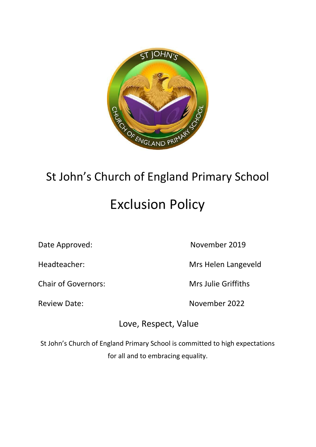

# St John's Church of England Primary School Exclusion Policy

Chair of Governors: Mrs Julie Griffiths

Date Approved: November 2019

Headteacher: Mrs Helen Langeveld

Review Date: November 2022

Love, Respect, Value

St John's Church of England Primary School is committed to high expectations for all and to embracing equality.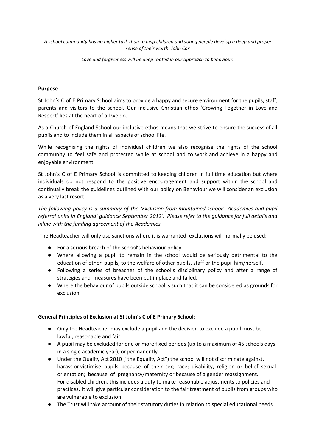A school community has no higher task than to help children and young people develop a deep and proper *sense of their worth. John Cox*

*Love and forgiveness will be deep rooted in our approach to behaviour.*

#### **Purpose**

St John's C of E Primary School aims to provide a happy and secure environment for the pupils, staff, parents and visitors to the school. Our inclusive Christian ethos 'Growing Together in Love and Respect' lies at the heart of all we do.

As a Church of England School our inclusive ethos means that we strive to ensure the success of all pupils and to include them in all aspects of school life.

While recognising the rights of individual children we also recognise the rights of the school community to feel safe and protected while at school and to work and achieve in a happy and enjoyable environment.

St John's C of E Primary School is committed to keeping children in full time education but where individuals do not respond to the positive encouragement and support within the school and continually break the guidelines outlined with our policy on Behaviour we will consider an exclusion as a very last resort.

*The following policy is a summary of the 'Exclusion from maintained schools, Academies and pupil referral units in England' guidance September 2012'. Please refer to the guidance for full details and inline with the funding agreement of the Academies.*

The Headteacher will only use sanctions where it is warranted, exclusions will normally be used:

- For a serious breach of the school's behaviour policy
- Where allowing a pupil to remain in the school would be seriously detrimental to the education of other pupils, to the welfare of other pupils, staff or the pupil him/herself.
- Following a series of breaches of the school's disciplinary policy and after a range of strategies and measures have been put in place and failed.
- Where the behaviour of pupils outside school is such that it can be considered as grounds for exclusion.

#### **General Principles of Exclusion at St John's C of E Primary School:**

- Only the Headteacher may exclude a pupil and the decision to exclude a pupil must be lawful, reasonable and fair.
- A pupil may be excluded for one or more fixed periods (up to a maximum of 45 schools days in a single academic year), or permanently.
- Under the Quality Act 2010 ("the Equality Act") the school will not discriminate against, harass or victimise pupils because of their sex; race; disability, religion or belief, sexual orientation; because of pregnancy/maternity or because of a gender reassignment. For disabled children, this includes a duty to make reasonable adjustments to policies and practices. It will give particular consideration to the fair treatment of pupils from groups who are vulnerable to exclusion.
- The Trust will take account of their statutory duties in relation to special educational needs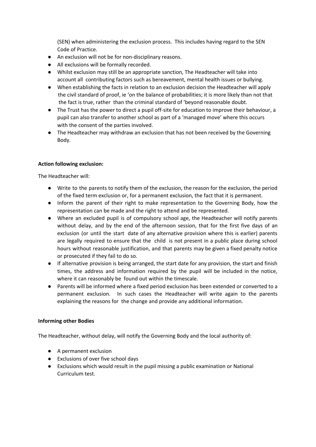(SEN) when administering the exclusion process. This includes having regard to the SEN Code of Practice.

- An exclusion will not be for non-disciplinary reasons.
- All exclusions will be formally recorded.
- Whilst exclusion may still be an appropriate sanction, The Headteacher will take into account all contributing factors such as bereavement, mental health issues or bullying.
- When establishing the facts in relation to an exclusion decision the Headteacher will apply the civil standard of proof, ie 'on the balance of probabilities; it is more likely than not that the fact is true, rather than the criminal standard of 'beyond reasonable doubt.
- The Trust has the power to direct a pupil off-site for education to improve their behaviour, a pupil can also transfer to another school as part of a 'managed move' where this occurs with the consent of the parties involved.
- The Headteacher may withdraw an exclusion that has not been received by the Governing Body.

### **Action following exclusion:**

The Headteacher will:

- Write to the parents to notify them of the exclusion, the reason for the exclusion, the period of the fixed term exclusion or, for a permanent exclusion, the fact that it is permanent.
- Inform the parent of their right to make representation to the Governing Body, how the representation can be made and the right to attend and be represented.
- Where an excluded pupil is of compulsory school age, the Headteacher will notify parents without delay, and by the end of the afternoon session, that for the first five days of an exclusion (or until the start date of any alternative provision where this is earlier) parents are legally required to ensure that the child is not present in a public place during school hours without reasonable justification, and that parents may be given a fixed penalty notice or prosecuted if they fail to do so.
- If alternative provision is being arranged, the start date for any provision, the start and finish times, the address and information required by the pupil will be included in the notice, where it can reasonably be found out within the timescale.
- Parents will be informed where a fixed period exclusion has been extended or converted to a permanent exclusion. In such cases the Headteacher will write again to the parents explaining the reasons for the change and provide any additional information.

### **Informing other Bodies**

The Headteacher, without delay, will notify the Governing Body and the local authority of:

- A permanent exclusion
- Exclusions of over five school days
- Exclusions which would result in the pupil missing a public examination or National Curriculum test.